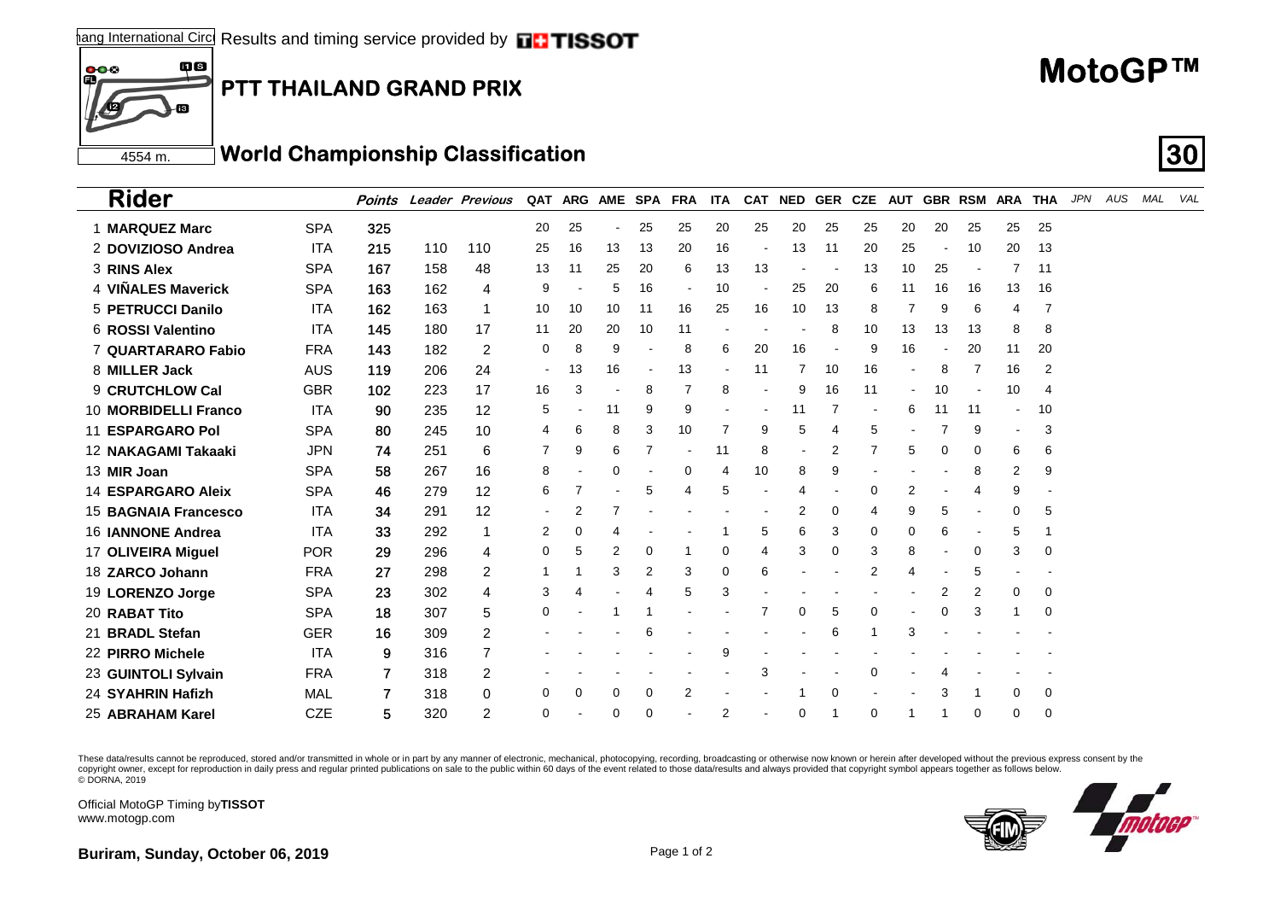**PTT THAILAND GRAND PRIX**

## 4554 m.**World Championship Classification 30**

**ins** 

ſВ

 $\frac{000}{1}$ 

| <b>Rider</b>                |            |     |     | <b>Points Leader Previous</b> |                          |    |          |    | QAT ARG AME SPA FRA ITA CAT NED GER CZE AUT GBR RSM ARA THA |    |                          |                |          |    |                          |    |          |    |          | JPN | AUS | MAL VAL |  |
|-----------------------------|------------|-----|-----|-------------------------------|--------------------------|----|----------|----|-------------------------------------------------------------|----|--------------------------|----------------|----------|----|--------------------------|----|----------|----|----------|-----|-----|---------|--|
| 1 MARQUEZ Marc              | <b>SPA</b> | 325 |     |                               | 20                       | 25 |          | 25 | 25                                                          | 20 | 25                       | 20             | 25       | 25 | 20                       | 20 | 25       | 25 | 25       |     |     |         |  |
| 2 DOVIZIOSO Andrea          | <b>ITA</b> | 215 | 110 | 110                           | 25                       | 16 | 13       | 13 | 20                                                          | 16 | $\overline{\phantom{a}}$ | 13             | 11       | 20 | 25                       |    | 10       | 20 | 13       |     |     |         |  |
| 3 RINS Alex                 | <b>SPA</b> | 167 | 158 | 48                            | 13                       | 11 | 25       | 20 | 6                                                           | 13 | 13                       |                |          | 13 | 10                       | 25 |          | 7  | 11       |     |     |         |  |
| 4 VIÑALES Maverick          | <b>SPA</b> | 163 | 162 | 4                             | 9                        |    | 5        | 16 |                                                             | 10 |                          | 25             | 20       | 6  | 11                       | 16 | 16       | 13 | 16       |     |     |         |  |
| 5 PETRUCCI Danilo           | <b>ITA</b> | 162 | 163 | 1                             | 10                       | 10 | 10       | 11 | 16                                                          | 25 | 16                       | 10             | 13       | 8  | 7                        | 9  | 6        | 4  | 7        |     |     |         |  |
| 6 ROSSI Valentino           | <b>ITA</b> | 145 | 180 | 17                            | 11                       | 20 | 20       | 10 | 11                                                          |    |                          |                | 8        | 10 | 13                       | 13 | 13       | 8  | 8        |     |     |         |  |
| <b>7 QUARTARARO Fabio</b>   | <b>FRA</b> | 143 | 182 | $\overline{2}$                | 0                        | 8  | 9        |    | 8                                                           | 6  | 20                       | 16             |          | 9  | 16                       |    | 20       | 11 | 20       |     |     |         |  |
| 8 MILLER Jack               | <b>AUS</b> | 119 | 206 | 24                            | $\overline{\phantom{a}}$ | 13 | 16       |    | 13                                                          |    | 11                       |                | 10       | 16 |                          | 8  |          | 16 | 2        |     |     |         |  |
| 9 CRUTCHLOW Cal             | <b>GBR</b> | 102 | 223 | 17                            | 16                       | 3  |          | 8  |                                                             | 8  |                          | 9              | 16       | 11 | $\overline{\phantom{a}}$ | 10 |          | 10 | 4        |     |     |         |  |
| 10 MORBIDELLI Franco        | <b>ITA</b> | 90  | 235 | 12                            | 5                        |    | 11       | 9  | 9                                                           |    |                          | 11             |          |    | 6                        | 11 | 11       |    | 10       |     |     |         |  |
| <b>11 ESPARGARO Pol</b>     | <b>SPA</b> | 80  | 245 | 10                            | 4                        | 6  | 8        | 3  | 10                                                          | 7  | 9                        | 5              |          | 5  |                          |    | 9        |    | 3        |     |     |         |  |
| 12 NAKAGAMI Takaaki         | <b>JPN</b> | 74  | 251 | 6                             | 7                        | 9  | 6        |    |                                                             | 11 | 8                        | $\blacksquare$ | 2        | 7  | 5                        | 0  | 0        | 6  | 6        |     |     |         |  |
| 13 MIR Joan                 | <b>SPA</b> | 58  | 267 | 16                            | 8                        |    | 0        |    | $\Omega$                                                    | 4  | 10                       | 8              | 9        |    |                          |    | 8        | 2  | 9        |     |     |         |  |
| <b>14 ESPARGARO Aleix</b>   | <b>SPA</b> | 46  | 279 | 12                            | 6                        | 7  |          | 5  | 4                                                           | 5  |                          | 4              |          | 0  | 2                        |    | 4        | 9  |          |     |     |         |  |
| <b>15 BAGNAIA Francesco</b> | ITA        | 34  | 291 | 12                            |                          | 2  | 7        |    |                                                             |    |                          | 2              | 0        | 4  | 9                        | 5  |          | 0  | 5        |     |     |         |  |
| <b>16 IANNONE Andrea</b>    | <b>ITA</b> | 33  | 292 | 1                             | 2                        | 0  | 4        |    |                                                             |    | 5                        | 6              | 3        | 0  | 0                        | 6  |          | 5  |          |     |     |         |  |
| 17 OLIVEIRA Miquel          | <b>POR</b> | 29  | 296 | 4                             | 0                        | 5  | 2        | 0  |                                                             | 0  | 4                        | 3              | 0        | 3  | 8                        |    | 0        | 3  | 0        |     |     |         |  |
| 18 ZARCO Johann             | <b>FRA</b> | 27  | 298 | 2                             |                          |    | 3        | 2  | 3                                                           | 0  | 6                        |                |          | 2  | 4                        |    | 5        |    |          |     |     |         |  |
| 19 LORENZO Jorge            | <b>SPA</b> | 23  | 302 | 4                             | 3                        | 4  |          | 4  | 5                                                           | 3  |                          |                |          |    |                          | 2  | 2        | 0  | 0        |     |     |         |  |
| 20 RABAT Tito               | <b>SPA</b> | 18  | 307 | 5                             | 0                        |    |          |    |                                                             |    | 7                        | 0              | 5        | 0  |                          | 0  | 3        |    | 0        |     |     |         |  |
| 21 BRADL Stefan             | <b>GER</b> | 16  | 309 | 2                             |                          |    |          | 6  |                                                             |    |                          |                | 6        |    | 3                        |    |          |    |          |     |     |         |  |
| 22 PIRRO Michele            | <b>ITA</b> | 9   | 316 |                               |                          |    |          |    |                                                             | 9  |                          |                |          |    |                          |    |          |    |          |     |     |         |  |
| 23 GUINTOLI Sylvain         | <b>FRA</b> | 7   | 318 | 2                             |                          |    |          |    |                                                             |    | 3                        |                |          | 0  |                          |    |          |    |          |     |     |         |  |
| 24 SYAHRIN Hafizh           | MAL        |     | 318 | 0                             | $\Omega$                 | 0  | 0        | 0  | 2                                                           |    |                          |                | $\Omega$ |    |                          | 3  |          | 0  | 0        |     |     |         |  |
| 25 ABRAHAM Karel            | <b>CZE</b> | 5   | 320 | 2                             | 0                        |    | $\Omega$ | 0  |                                                             | 2  |                          | 0              |          | 0  |                          |    | $\Omega$ | 0  | $\Omega$ |     |     |         |  |

These data/results cannot be reproduced, stored and/or transmitted in whole or in part by any manner of electronic, mechanical, photocopying, recording, broadcasting or otherwise now known or herein after developed without copyright owner, except for reproduction in daily press and regular printed publications on sale to the public within 60 days of the event related to those data/results and always provided that copyright symbol appears tog

Official MotoGP Timing by **TISSOT**www.motogp.com



**MotoGP™**

**Buriram, Sunday, October 06, 2019 Page 1 of 2 Page 1 of 2**